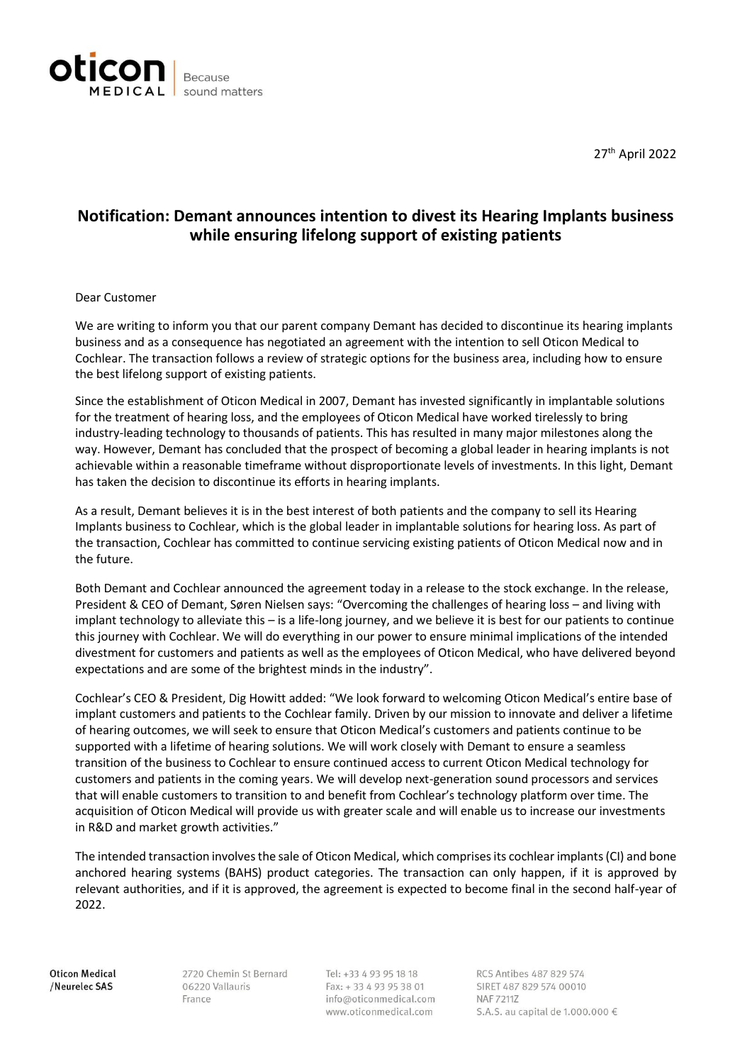

27th April 2022

## **Notification: Demant announces intention to divest its Hearing Implants business while ensuring lifelong support of existing patients**

## Dear Customer

We are writing to inform you that our parent company Demant has decided to discontinue its hearing implants business and as a consequence has negotiated an agreement with the intention to sell Oticon Medical to Cochlear. The transaction follows a review of strategic options for the business area, including how to ensure the best lifelong support of existing patients.

Since the establishment of Oticon Medical in 2007, Demant has invested significantly in implantable solutions for the treatment of hearing loss, and the employees of Oticon Medical have worked tirelessly to bring industry-leading technology to thousands of patients. This has resulted in many major milestones along the way. However, Demant has concluded that the prospect of becoming a global leader in hearing implants is not achievable within a reasonable timeframe without disproportionate levels of investments. In this light, Demant has taken the decision to discontinue its efforts in hearing implants.

As a result, Demant believes it is in the best interest of both patients and the company to sell its Hearing Implants business to Cochlear, which is the global leader in implantable solutions for hearing loss. As part of the transaction, Cochlear has committed to continue servicing existing patients of Oticon Medical now and in the future.

Both Demant and Cochlear announced the agreement today in a release to the stock exchange. In the release, President & CEO of Demant, Søren Nielsen says: "Overcoming the challenges of hearing loss – and living with implant technology to alleviate this – is a life-long journey, and we believe it is best for our patients to continue this journey with Cochlear. We will do everything in our power to ensure minimal implications of the intended divestment for customers and patients as well as the employees of Oticon Medical, who have delivered beyond expectations and are some of the brightest minds in the industry".

Cochlear's CEO & President, Dig Howitt added: "We look forward to welcoming Oticon Medical's entire base of implant customers and patients to the Cochlear family. Driven by our mission to innovate and deliver a lifetime of hearing outcomes, we will seek to ensure that Oticon Medical's customers and patients continue to be supported with a lifetime of hearing solutions. We will work closely with Demant to ensure a seamless transition of the business to Cochlear to ensure continued access to current Oticon Medical technology for customers and patients in the coming years. We will develop next-generation sound processors and services that will enable customers to transition to and benefit from Cochlear's technology platform over time. The acquisition of Oticon Medical will provide us with greater scale and will enable us to increase our investments in R&D and market growth activities."

The intended transaction involves the sale of Oticon Medical, which comprises its cochlear implants (CI) and bone anchored hearing systems (BAHS) product categories. The transaction can only happen, if it is approved by relevant authorities, and if it is approved, the agreement is expected to become final in the second half-year of 2022.

Oticon Medical /Neurelec SAS

2720 Chemin St Bernard 06220 Vallauris France

Tel: +33 4 93 95 18 18 Fax: +33 4 93 95 38 01 info@oticonmedical.com www.oticonmedical.com

RCS Antibes 487 829 574 SIRET 487 829 574 00010 NAF 72117 S.A.S. au capital de 1.000.000 €